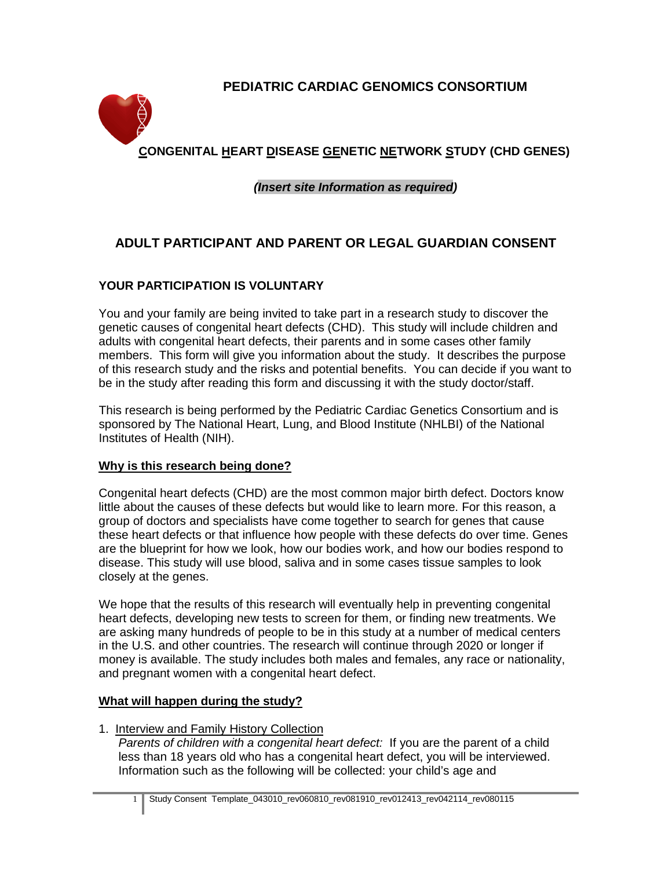# **PEDIATRIC CARDIAC GENOMICS CONSORTIUM**



# *(Insert site Information as required)*

# **ADULT PARTICIPANT AND PARENT OR LEGAL GUARDIAN CONSENT**

# **YOUR PARTICIPATION IS VOLUNTARY**

You and your family are being invited to take part in a research study to discover the genetic causes of congenital heart defects (CHD). This study will include children and adults with congenital heart defects, their parents and in some cases other family members. This form will give you information about the study. It describes the purpose of this research study and the risks and potential benefits. You can decide if you want to be in the study after reading this form and discussing it with the study doctor/staff.

This research is being performed by the Pediatric Cardiac Genetics Consortium and is sponsored by The National Heart, Lung, and Blood Institute (NHLBI) of the National Institutes of Health (NIH).

# **Why is this research being done?**

Congenital heart defects (CHD) are the most common major birth defect. Doctors know little about the causes of these defects but would like to learn more. For this reason, a group of doctors and specialists have come together to search for genes that cause these heart defects or that influence how people with these defects do over time. Genes are the blueprint for how we look, how our bodies work, and how our bodies respond to disease. This study will use blood, saliva and in some cases tissue samples to look closely at the genes.

We hope that the results of this research will eventually help in preventing congenital heart defects, developing new tests to screen for them, or finding new treatments. We are asking many hundreds of people to be in this study at a number of medical centers in the U.S. and other countries. The research will continue through 2020 or longer if money is available. The study includes both males and females, any race or nationality, and pregnant women with a congenital heart defect.

# **What will happen during the study?**

1. Interview and Family History Collection

*Parents of children with a congenital heart defect:* If you are the parent of a child less than 18 years old who has a congenital heart defect, you will be interviewed. Information such as the following will be collected: your child's age and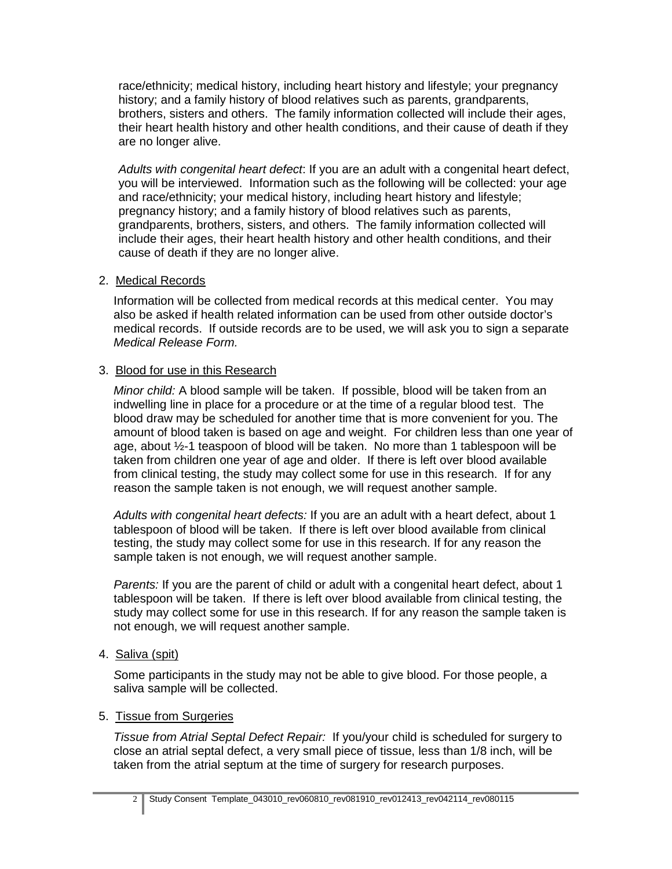race/ethnicity; medical history, including heart history and lifestyle; your pregnancy history; and a family history of blood relatives such as parents, grandparents, brothers, sisters and others. The family information collected will include their ages, their heart health history and other health conditions, and their cause of death if they are no longer alive.

*Adults with congenital heart defect*: If you are an adult with a congenital heart defect, you will be interviewed. Information such as the following will be collected: your age and race/ethnicity; your medical history, including heart history and lifestyle; pregnancy history; and a family history of blood relatives such as parents, grandparents, brothers, sisters, and others. The family information collected will include their ages, their heart health history and other health conditions, and their cause of death if they are no longer alive.

#### 2. Medical Records

Information will be collected from medical records at this medical center. You may also be asked if health related information can be used from other outside doctor's medical records. If outside records are to be used, we will ask you to sign a separate *Medical Release Form.*

## 3. Blood for use in this Research

*Minor child:* A blood sample will be taken. If possible, blood will be taken from an indwelling line in place for a procedure or at the time of a regular blood test. The blood draw may be scheduled for another time that is more convenient for you. The amount of blood taken is based on age and weight. For children less than one year of age, about ½-1 teaspoon of blood will be taken. No more than 1 tablespoon will be taken from children one year of age and older. If there is left over blood available from clinical testing, the study may collect some for use in this research. If for any reason the sample taken is not enough, we will request another sample.

*Adults with congenital heart defects:* If you are an adult with a heart defect, about 1 tablespoon of blood will be taken. If there is left over blood available from clinical testing, the study may collect some for use in this research. If for any reason the sample taken is not enough, we will request another sample.

*Parents:* If you are the parent of child or adult with a congenital heart defect, about 1 tablespoon will be taken. If there is left over blood available from clinical testing, the study may collect some for use in this research. If for any reason the sample taken is not enough, we will request another sample.

4. Saliva (spit)

 *S*ome participants in the study may not be able to give blood. For those people, a saliva sample will be collected.

## 5. Tissue from Surgeries

*Tissue from Atrial Septal Defect Repair:* If you/your child is scheduled for surgery to close an atrial septal defect, a very small piece of tissue, less than 1/8 inch, will be taken from the atrial septum at the time of surgery for research purposes.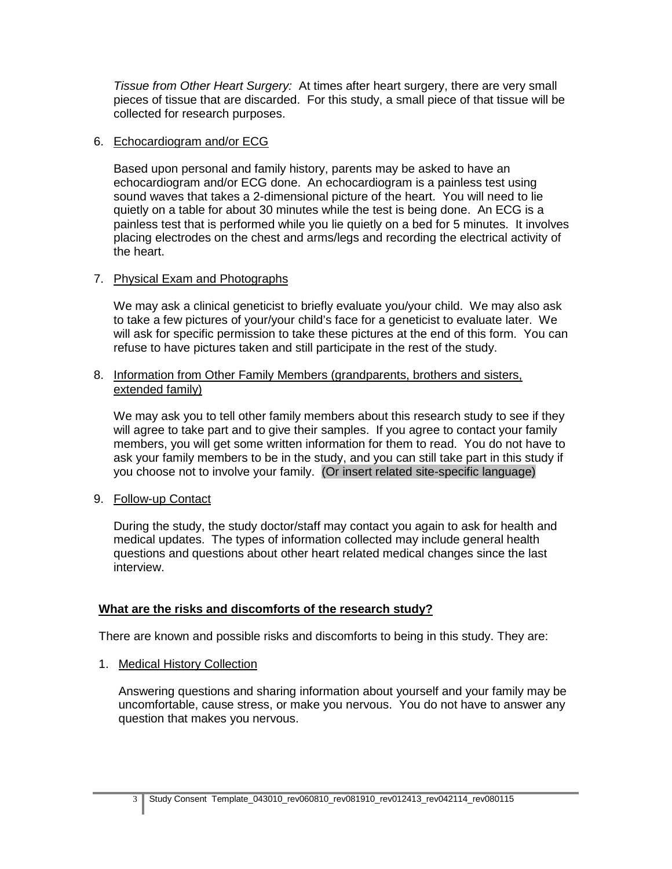*Tissue from Other Heart Surgery:* At times after heart surgery, there are very small pieces of tissue that are discarded. For this study, a small piece of that tissue will be collected for research purposes.

## 6. Echocardiogram and/or ECG

Based upon personal and family history, parents may be asked to have an echocardiogram and/or ECG done. An echocardiogram is a painless test using sound waves that takes a 2-dimensional picture of the heart. You will need to lie quietly on a table for about 30 minutes while the test is being done. An ECG is a painless test that is performed while you lie quietly on a bed for 5 minutes. It involves placing electrodes on the chest and arms/legs and recording the electrical activity of the heart.

## 7. Physical Exam and Photographs

We may ask a clinical geneticist to briefly evaluate you/your child. We may also ask to take a few pictures of your/your child's face for a geneticist to evaluate later. We will ask for specific permission to take these pictures at the end of this form. You can refuse to have pictures taken and still participate in the rest of the study.

#### 8. Information from Other Family Members (grandparents, brothers and sisters, extended family)

We may ask you to tell other family members about this research study to see if they will agree to take part and to give their samples. If you agree to contact your family members, you will get some written information for them to read. You do not have to ask your family members to be in the study, and you can still take part in this study if you choose not to involve your family. (Or insert related site-specific language)

9. Follow-up Contact

During the study, the study doctor/staff may contact you again to ask for health and medical updates. The types of information collected may include general health questions and questions about other heart related medical changes since the last interview.

## **What are the risks and discomforts of the research study?**

There are known and possible risks and discomforts to being in this study. They are:

1. Medical History Collection

Answering questions and sharing information about yourself and your family may be uncomfortable, cause stress, or make you nervous. You do not have to answer any question that makes you nervous.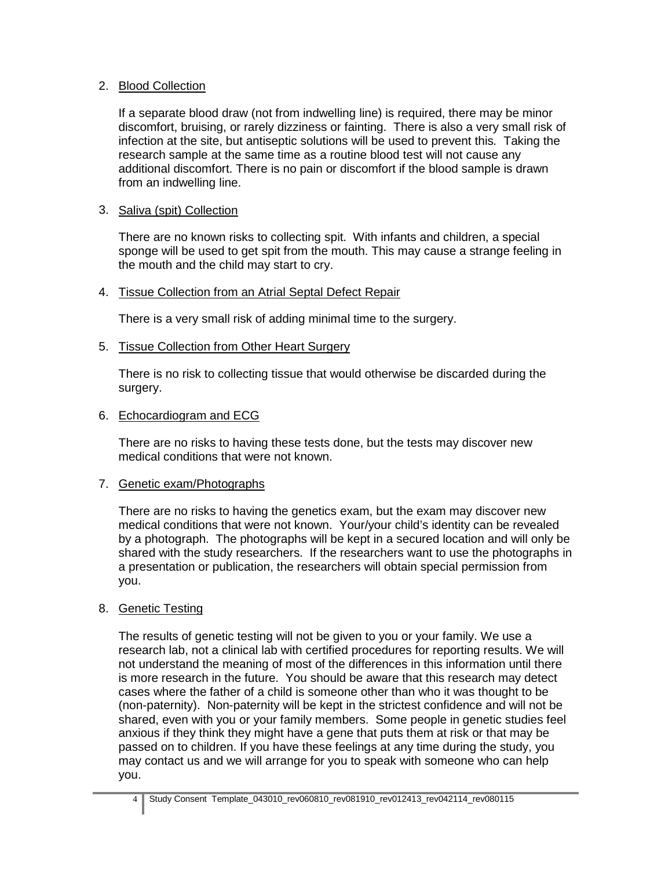## 2. Blood Collection

If a separate blood draw (not from indwelling line) is required, there may be minor discomfort, bruising, or rarely dizziness or fainting. There is also a very small risk of infection at the site, but antiseptic solutions will be used to prevent this*.* Taking the research sample at the same time as a routine blood test will not cause any additional discomfort. There is no pain or discomfort if the blood sample is drawn from an indwelling line.

## 3. Saliva (spit) Collection

There are no known risks to collecting spit. With infants and children, a special sponge will be used to get spit from the mouth. This may cause a strange feeling in the mouth and the child may start to cry.

#### 4. Tissue Collection from an Atrial Septal Defect Repair

There is a very small risk of adding minimal time to the surgery.

#### 5. Tissue Collection from Other Heart Surgery

There is no risk to collecting tissue that would otherwise be discarded during the surgery.

#### 6. Echocardiogram and ECG

There are no risks to having these tests done, but the tests may discover new medical conditions that were not known.

#### 7. Genetic exam/Photographs

There are no risks to having the genetics exam, but the exam may discover new medical conditions that were not known. Your/your child's identity can be revealed by a photograph. The photographs will be kept in a secured location and will only be shared with the study researchers. If the researchers want to use the photographs in a presentation or publication, the researchers will obtain special permission from you.

#### 8. Genetic Testing

The results of genetic testing will not be given to you or your family. We use a research lab, not a clinical lab with certified procedures for reporting results. We will not understand the meaning of most of the differences in this information until there is more research in the future. You should be aware that this research may detect cases where the father of a child is someone other than who it was thought to be (non-paternity). Non-paternity will be kept in the strictest confidence and will not be shared, even with you or your family members. Some people in genetic studies feel anxious if they think they might have a gene that puts them at risk or that may be passed on to children. If you have these feelings at any time during the study, you may contact us and we will arrange for you to speak with someone who can help you.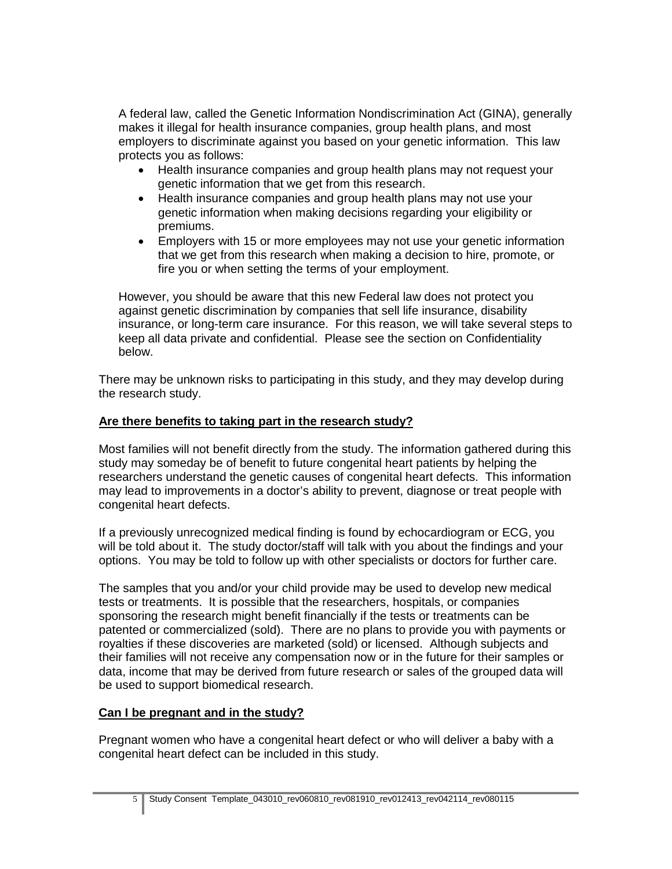A federal law, called the Genetic Information Nondiscrimination Act (GINA), generally makes it illegal for health insurance companies, group health plans, and most employers to discriminate against you based on your genetic information. This law protects you as follows:

- Health insurance companies and group health plans may not request your genetic information that we get from this research.
- Health insurance companies and group health plans may not use your genetic information when making decisions regarding your eligibility or premiums.
- Employers with 15 or more employees may not use your genetic information that we get from this research when making a decision to hire, promote, or fire you or when setting the terms of your employment.

However, you should be aware that this new Federal law does not protect you against genetic discrimination by companies that sell life insurance, disability insurance, or long-term care insurance. For this reason, we will take several steps to keep all data private and confidential. Please see the section on Confidentiality below.

There may be unknown risks to participating in this study, and they may develop during the research study.

# **Are there benefits to taking part in the research study?**

Most families will not benefit directly from the study. The information gathered during this study may someday be of benefit to future congenital heart patients by helping the researchers understand the genetic causes of congenital heart defects. This information may lead to improvements in a doctor's ability to prevent, diagnose or treat people with congenital heart defects.

If a previously unrecognized medical finding is found by echocardiogram or ECG, you will be told about it. The study doctor/staff will talk with you about the findings and your options. You may be told to follow up with other specialists or doctors for further care.

The samples that you and/or your child provide may be used to develop new medical tests or treatments. It is possible that the researchers, hospitals, or companies sponsoring the research might benefit financially if the tests or treatments can be patented or commercialized (sold). There are no plans to provide you with payments or royalties if these discoveries are marketed (sold) or licensed. Although subjects and their families will not receive any compensation now or in the future for their samples or data, income that may be derived from future research or sales of the grouped data will be used to support biomedical research.

## **Can I be pregnant and in the study?**

Pregnant women who have a congenital heart defect or who will deliver a baby with a congenital heart defect can be included in this study.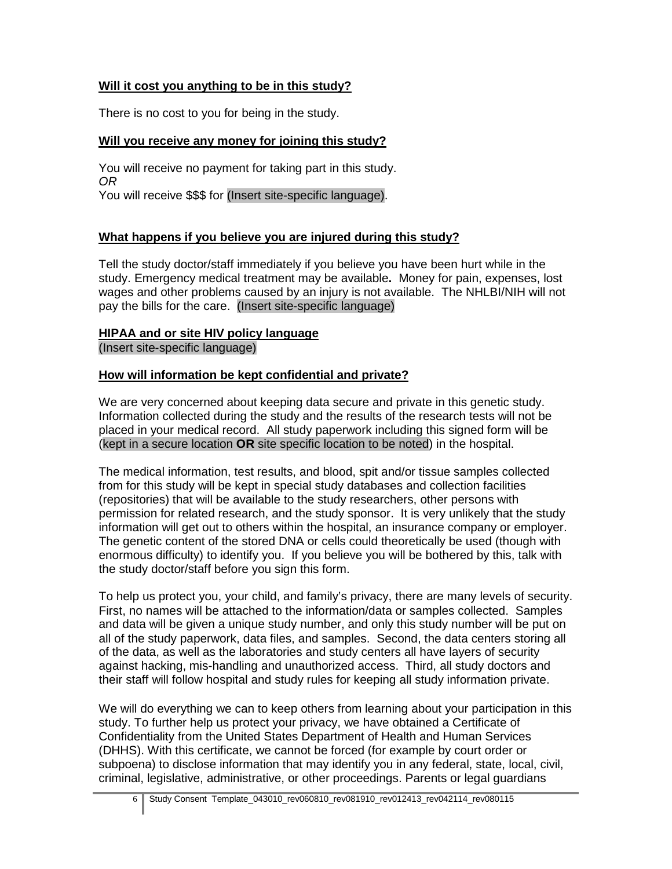# **Will it cost you anything to be in this study?**

There is no cost to you for being in the study.

# **Will you receive any money for joining this study?**

You will receive no payment for taking part in this study. *OR* You will receive \$\$\$ for (Insert site-specific language).

# **What happens if you believe you are injured during this study?**

Tell the study doctor/staff immediately if you believe you have been hurt while in the study. Emergency medical treatment may be available**.** Money for pain, expenses, lost wages and other problems caused by an injury is not available. The NHLBI/NIH will not pay the bills for the care. (Insert site-specific language)

## **HIPAA and or site HIV policy language**

(Insert site-specific language)

## **How will information be kept confidential and private?**

We are very concerned about keeping data secure and private in this genetic study. Information collected during the study and the results of the research tests will not be placed in your medical record. All study paperwork including this signed form will be (kept in a secure location **OR** site specific location to be noted) in the hospital.

The medical information, test results, and blood, spit and/or tissue samples collected from for this study will be kept in special study databases and collection facilities (repositories) that will be available to the study researchers, other persons with permission for related research, and the study sponsor. It is very unlikely that the study information will get out to others within the hospital, an insurance company or employer. The genetic content of the stored DNA or cells could theoretically be used (though with enormous difficulty) to identify you. If you believe you will be bothered by this, talk with the study doctor/staff before you sign this form.

To help us protect you, your child, and family's privacy, there are many levels of security. First, no names will be attached to the information/data or samples collected. Samples and data will be given a unique study number, and only this study number will be put on all of the study paperwork, data files, and samples. Second, the data centers storing all of the data, as well as the laboratories and study centers all have layers of security against hacking, mis-handling and unauthorized access. Third, all study doctors and their staff will follow hospital and study rules for keeping all study information private.

We will do everything we can to keep others from learning about your participation in this study. To further help us protect your privacy, we have obtained a Certificate of Confidentiality from the United States Department of Health and Human Services (DHHS). With this certificate, we cannot be forced (for example by court order or subpoena) to disclose information that may identify you in any federal, state, local, civil, criminal, legislative, administrative, or other proceedings. Parents or legal guardians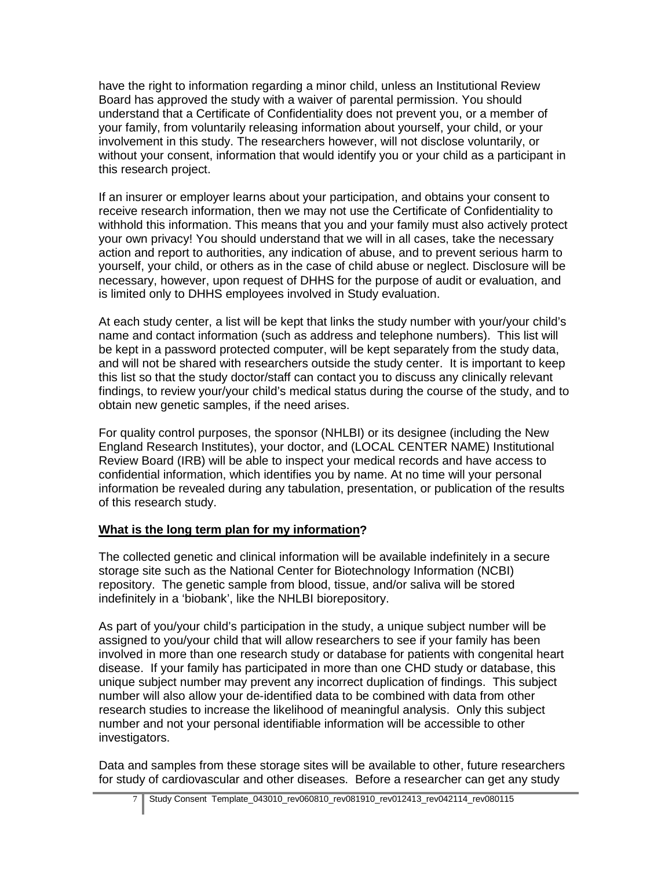have the right to information regarding a minor child, unless an Institutional Review Board has approved the study with a waiver of parental permission. You should understand that a Certificate of Confidentiality does not prevent you, or a member of your family, from voluntarily releasing information about yourself, your child, or your involvement in this study. The researchers however, will not disclose voluntarily, or without your consent, information that would identify you or your child as a participant in this research project.

If an insurer or employer learns about your participation, and obtains your consent to receive research information, then we may not use the Certificate of Confidentiality to withhold this information. This means that you and your family must also actively protect your own privacy! You should understand that we will in all cases, take the necessary action and report to authorities, any indication of abuse, and to prevent serious harm to yourself, your child, or others as in the case of child abuse or neglect. Disclosure will be necessary, however, upon request of DHHS for the purpose of audit or evaluation, and is limited only to DHHS employees involved in Study evaluation.

At each study center, a list will be kept that links the study number with your/your child's name and contact information (such as address and telephone numbers). This list will be kept in a password protected computer, will be kept separately from the study data, and will not be shared with researchers outside the study center. It is important to keep this list so that the study doctor/staff can contact you to discuss any clinically relevant findings, to review your/your child's medical status during the course of the study, and to obtain new genetic samples, if the need arises.

For quality control purposes, the sponsor (NHLBI) or its designee (including the New England Research Institutes), your doctor, and (LOCAL CENTER NAME) Institutional Review Board (IRB) will be able to inspect your medical records and have access to confidential information, which identifies you by name. At no time will your personal information be revealed during any tabulation, presentation, or publication of the results of this research study.

# **What is the long term plan for my information?**

The collected genetic and clinical information will be available indefinitely in a secure storage site such as the National Center for Biotechnology Information (NCBI) repository. The genetic sample from blood, tissue, and/or saliva will be stored indefinitely in a 'biobank', like the NHLBI biorepository.

As part of you/your child's participation in the study, a unique subject number will be assigned to you/your child that will allow researchers to see if your family has been involved in more than one research study or database for patients with congenital heart disease. If your family has participated in more than one CHD study or database, this unique subject number may prevent any incorrect duplication of findings. This subject number will also allow your de-identified data to be combined with data from other research studies to increase the likelihood of meaningful analysis. Only this subject number and not your personal identifiable information will be accessible to other investigators.

Data and samples from these storage sites will be available to other, future researchers for study of cardiovascular and other diseases. Before a researcher can get any study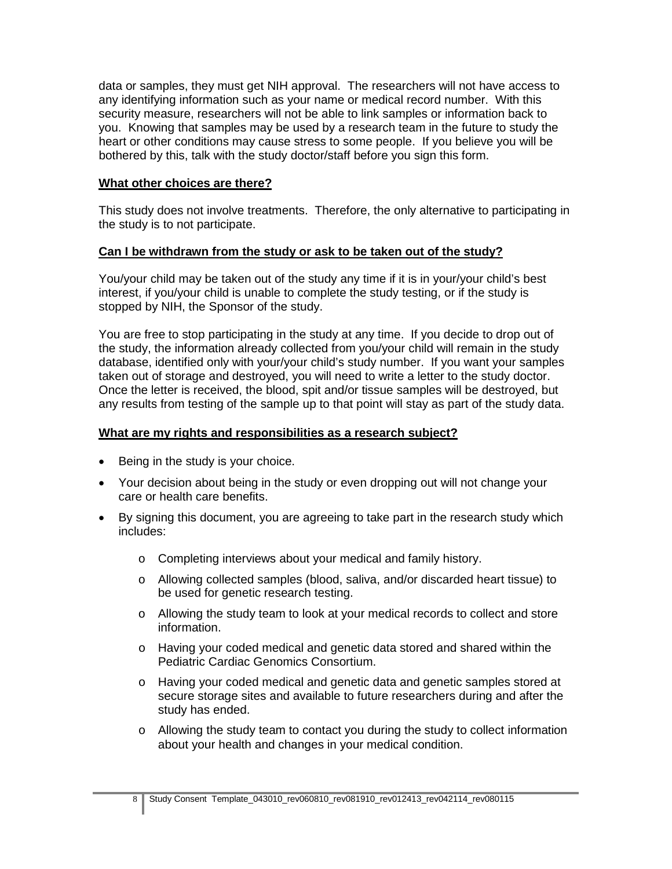data or samples, they must get NIH approval. The researchers will not have access to any identifying information such as your name or medical record number. With this security measure, researchers will not be able to link samples or information back to you. Knowing that samples may be used by a research team in the future to study the heart or other conditions may cause stress to some people. If you believe you will be bothered by this, talk with the study doctor/staff before you sign this form.

## **What other choices are there?**

This study does not involve treatments. Therefore, the only alternative to participating in the study is to not participate.

#### **Can I be withdrawn from the study or ask to be taken out of the study?**

You/your child may be taken out of the study any time if it is in your/your child's best interest, if you/your child is unable to complete the study testing, or if the study is stopped by NIH, the Sponsor of the study.

You are free to stop participating in the study at any time. If you decide to drop out of the study, the information already collected from you/your child will remain in the study database, identified only with your/your child's study number. If you want your samples taken out of storage and destroyed, you will need to write a letter to the study doctor. Once the letter is received, the blood, spit and/or tissue samples will be destroyed, but any results from testing of the sample up to that point will stay as part of the study data.

#### **What are my rights and responsibilities as a research subject?**

- Being in the study is your choice.
- Your decision about being in the study or even dropping out will not change your care or health care benefits.
- By signing this document, you are agreeing to take part in the research study which includes:
	- o Completing interviews about your medical and family history.
	- o Allowing collected samples (blood, saliva, and/or discarded heart tissue) to be used for genetic research testing.
	- o Allowing the study team to look at your medical records to collect and store information.
	- o Having your coded medical and genetic data stored and shared within the Pediatric Cardiac Genomics Consortium.
	- o Having your coded medical and genetic data and genetic samples stored at secure storage sites and available to future researchers during and after the study has ended.
	- $\circ$  Allowing the study team to contact you during the study to collect information about your health and changes in your medical condition.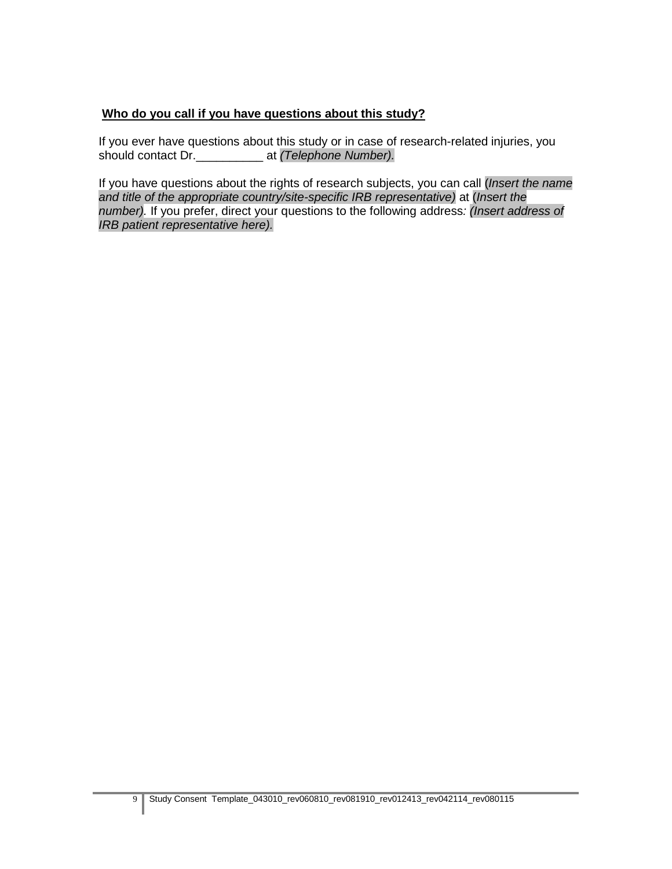# **Who do you call if you have questions about this study?**

If you ever have questions about this study or in case of research-related injuries, you should contact Dr.\_\_\_\_\_\_\_\_\_\_ at *(Telephone Number).* 

If you have questions about the rights of research subjects, you can call (*Insert the name and title of the appropriate country/site-specific IRB representative)* at (*Insert the number).* If you prefer, direct your questions to the following address*: (Insert address of IRB patient representative here).*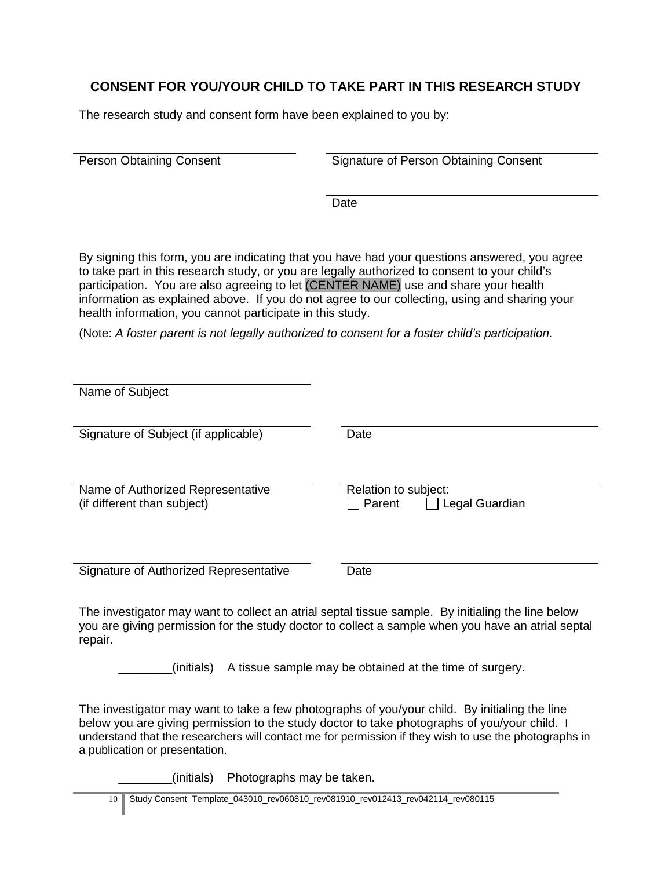# **CONSENT FOR YOU/YOUR CHILD TO TAKE PART IN THIS RESEARCH STUDY**

The research study and consent form have been explained to you by:

Person Obtaining Consent **Signature of Person Obtaining Consent** 

**Date** 

By signing this form, you are indicating that you have had your questions answered, you agree to take part in this research study, or you are legally authorized to consent to your child's participation. You are also agreeing to let (CENTER NAME) use and share your health information as explained above. If you do not agree to our collecting, using and sharing your health information, you cannot participate in this study.

(Note: *A foster parent is not legally authorized to consent for a foster child's participation.*

| Name of Subject                                                  |                                                  |
|------------------------------------------------------------------|--------------------------------------------------|
| Signature of Subject (if applicable)                             | Date                                             |
| Name of Authorized Representative<br>(if different than subject) | Relation to subject:<br>Parent<br>Legal Guardian |
| Signature of Authorized Representative                           | Date                                             |

The investigator may want to collect an atrial septal tissue sample. By initialing the line below you are giving permission for the study doctor to collect a sample when you have an atrial septal repair.

\_\_\_\_\_\_\_\_(initials) A tissue sample may be obtained at the time of surgery.

The investigator may want to take a few photographs of you/your child. By initialing the line below you are giving permission to the study doctor to take photographs of you/your child. I understand that the researchers will contact me for permission if they wish to use the photographs in a publication or presentation.

\_\_\_\_\_\_\_\_(initials) Photographs may be taken.